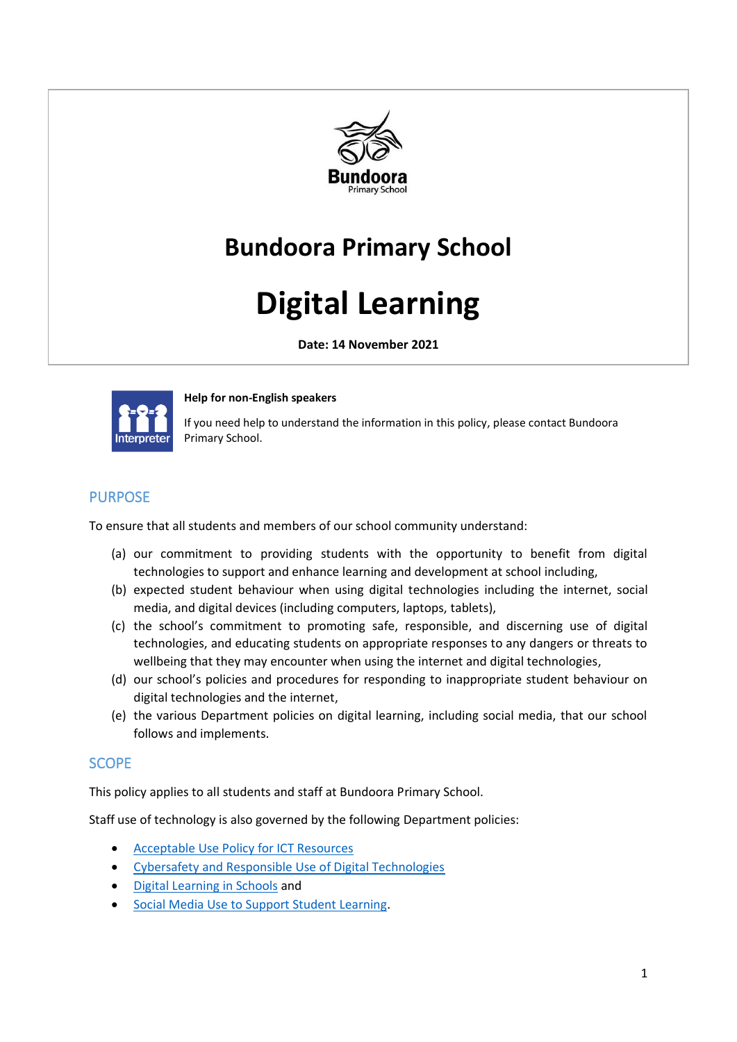

# **Bundoora Primary School**

# **Digital Learning**

**Date: 14 November 2021**



#### **Help for non-English speakers**

If you need help to understand the information in this policy, please contact Bundoora Primary School.

# PURPOSE

To ensure that all students and members of our school community understand:

- (a) our commitment to providing students with the opportunity to benefit from digital technologies to support and enhance learning and development at school including,
- (b) expected student behaviour when using digital technologies including the internet, social media, and digital devices (including computers, laptops, tablets),
- (c) the school's commitment to promoting safe, responsible, and discerning use of digital technologies, and educating students on appropriate responses to any dangers or threats to wellbeing that they may encounter when using the internet and digital technologies,
- (d) our school's policies and procedures for responding to inappropriate student behaviour on digital technologies and the internet,
- (e) the various Department policies on digital learning, including social media, that our school follows and implements.

#### **SCOPE**

This policy applies to all students and staff at Bundoora Primary School.

Staff use of technology is also governed by the following Department policies:

- [Acceptable Use Policy](https://www2.education.vic.gov.au/pal/ict-acceptable-use/overview) for ICT Resources
- [Cybersafety and Responsible Use of Digital Technologies](https://www2.education.vic.gov.au/pal/cybersafety/policy)
- [Digital Learning in Schools](https://www2.education.vic.gov.au/pal/digital-learning/policy) and
- [Social Media Use to Support Student Learning.](https://www2.education.vic.gov.au/pal/social-media/policy)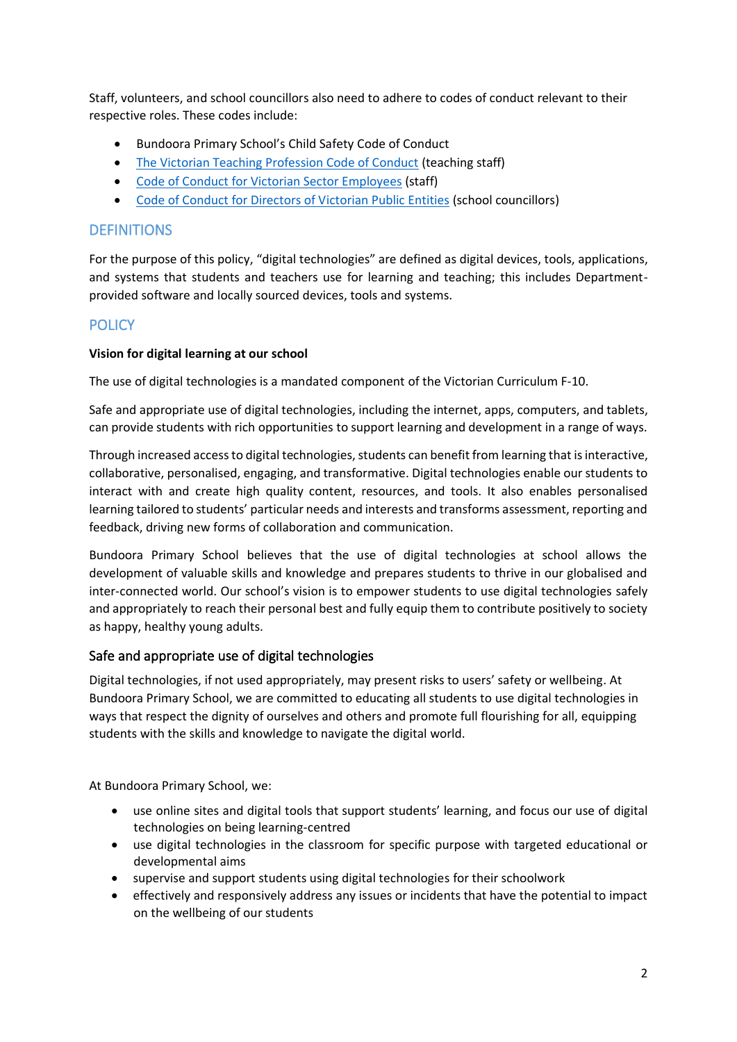Staff, volunteers, and school councillors also need to adhere to codes of conduct relevant to their respective roles. These codes include:

- Bundoora Primary School's Child Safety Code of Conduct
- [The Victorian Teaching Profession Code of Conduct](https://www.vit.vic.edu.au/__data/assets/pdf_file/0018/35604/Code-of-Conduct-2016.pdf) (teaching staff)
- [Code of Conduct for Victorian Sector Employees](https://www2.education.vic.gov.au/pal/code-conduct/overview) (staff)
- [Code of Conduct for Directors of Victorian Public Entities](https://www2.education.vic.gov.au/pal/school-council-conduct/policy) (school councillors)

#### **DEFINITIONS**

For the purpose of this policy, "digital technologies" are defined as digital devices, tools, applications, and systems that students and teachers use for learning and teaching; this includes Departmentprovided software and locally sourced devices, tools and systems.

#### **POLICY**

#### **Vision for digital learning at our school**

The use of digital technologies is a mandated component of the Victorian Curriculum F-10.

Safe and appropriate use of digital technologies, including the internet, apps, computers, and tablets, can provide students with rich opportunities to support learning and development in a range of ways.

Through increased access to digital technologies, students can benefit from learning that is interactive, collaborative, personalised, engaging, and transformative. Digital technologies enable our students to interact with and create high quality content, resources, and tools. It also enables personalised learning tailored to students' particular needs and interests and transforms assessment, reporting and feedback, driving new forms of collaboration and communication.

Bundoora Primary School believes that the use of digital technologies at school allows the development of valuable skills and knowledge and prepares students to thrive in our globalised and inter-connected world. Our school's vision is to empower students to use digital technologies safely and appropriately to reach their personal best and fully equip them to contribute positively to society as happy, healthy young adults.

#### Safe and appropriate use of digital technologies

Digital technologies, if not used appropriately, may present risks to users' safety or wellbeing. At Bundoora Primary School, we are committed to educating all students to use digital technologies in ways that respect the dignity of ourselves and others and promote full flourishing for all, equipping students with the skills and knowledge to navigate the digital world.

At Bundoora Primary School, we:

- use online sites and digital tools that support students' learning, and focus our use of digital technologies on being learning-centred
- use digital technologies in the classroom for specific purpose with targeted educational or developmental aims
- supervise and support students using digital technologies for their schoolwork
- effectively and responsively address any issues or incidents that have the potential to impact on the wellbeing of our students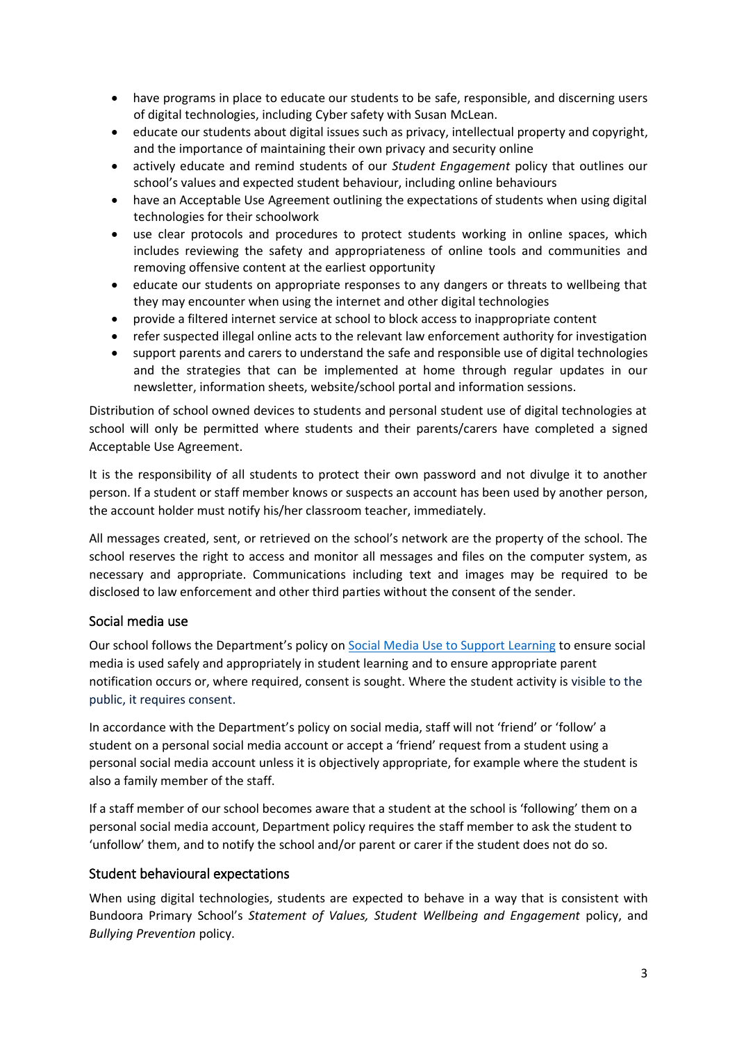- have programs in place to educate our students to be safe, responsible, and discerning users of digital technologies, including Cyber safety with Susan McLean.
- educate our students about digital issues such as privacy, intellectual property and copyright, and the importance of maintaining their own privacy and security online
- actively educate and remind students of our *Student Engagement* policy that outlines our school's values and expected student behaviour, including online behaviours
- have an Acceptable Use Agreement outlining the expectations of students when using digital technologies for their schoolwork
- use clear protocols and procedures to protect students working in online spaces, which includes reviewing the safety and appropriateness of online tools and communities and removing offensive content at the earliest opportunity
- educate our students on appropriate responses to any dangers or threats to wellbeing that they may encounter when using the internet and other digital technologies
- provide a filtered internet service at school to block access to inappropriate content
- refer suspected illegal online acts to the relevant law enforcement authority for investigation
- support parents and carers to understand the safe and responsible use of digital technologies and the strategies that can be implemented at home through regular updates in our newsletter, information sheets, website/school portal and information sessions.

Distribution of school owned devices to students and personal student use of digital technologies at school will only be permitted where students and their parents/carers have completed a signed Acceptable Use Agreement.

It is the responsibility of all students to protect their own password and not divulge it to another person. If a student or staff member knows or suspects an account has been used by another person, the account holder must notify his/her classroom teacher, immediately.

All messages created, sent, or retrieved on the school's network are the property of the school. The school reserves the right to access and monitor all messages and files on the computer system, as necessary and appropriate. Communications including text and images may be required to be disclosed to law enforcement and other third parties without the consent of the sender.

#### Social media use

Our school follows the Department's policy on [Social Media Use to Support Learning](https://www2.education.vic.gov.au/pal/social-media/policy) to ensure social media is used safely and appropriately in student learning and to ensure appropriate parent notification occurs or, where required, consent is sought. Where the student activity is visible to the public, it requires consent.

In accordance with the Department's policy on social media, staff will not 'friend' or 'follow' a student on a personal social media account or accept a 'friend' request from a student using a personal social media account unless it is objectively appropriate, for example where the student is also a family member of the staff.

If a staff member of our school becomes aware that a student at the school is 'following' them on a personal social media account, Department policy requires the staff member to ask the student to 'unfollow' them, and to notify the school and/or parent or carer if the student does not do so.

#### Student behavioural expectations

When using digital technologies, students are expected to behave in a way that is consistent with Bundoora Primary School's *Statement of Values, Student Wellbeing and Engagement* policy, and *Bullying Prevention* policy.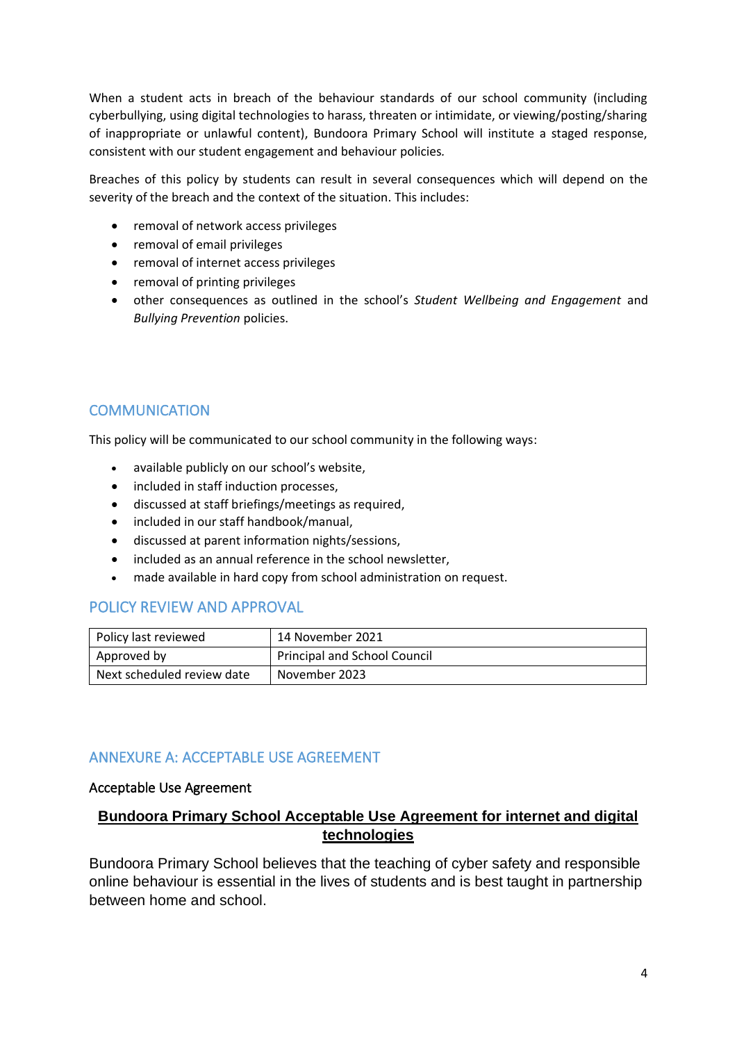When a student acts in breach of the behaviour standards of our school community (including cyberbullying, using digital technologies to harass, threaten or intimidate, or viewing/posting/sharing of inappropriate or unlawful content), Bundoora Primary School will institute a staged response, consistent with our student engagement and behaviour policies*.*

Breaches of this policy by students can result in several consequences which will depend on the severity of the breach and the context of the situation. This includes:

- removal of network access privileges
- removal of email privileges
- removal of internet access privileges
- removal of printing privileges
- other consequences as outlined in the school's *Student Wellbeing and Engagement* and *Bullying Prevention* policies.

# COMMUNICATION

This policy will be communicated to our school community in the following ways:

- available publicly on our school's website,
- included in staff induction processes,
- discussed at staff briefings/meetings as required,
- included in our staff handbook/manual,
- discussed at parent information nights/sessions,
- included as an annual reference in the school newsletter,
- made available in hard copy from school administration on request.

#### POLICY REVIEW AND APPROVAL

| Policy last reviewed       | 14 November 2021             |
|----------------------------|------------------------------|
| Approved by                | Principal and School Council |
| Next scheduled review date | November 2023                |

#### ANNEXURE A: ACCEPTABLE USE AGREEMENT

#### Acceptable Use Agreement

# **Bundoora Primary School Acceptable Use Agreement for internet and digital technologies**

Bundoora Primary School believes that the teaching of cyber safety and responsible online behaviour is essential in the lives of students and is best taught in partnership between home and school.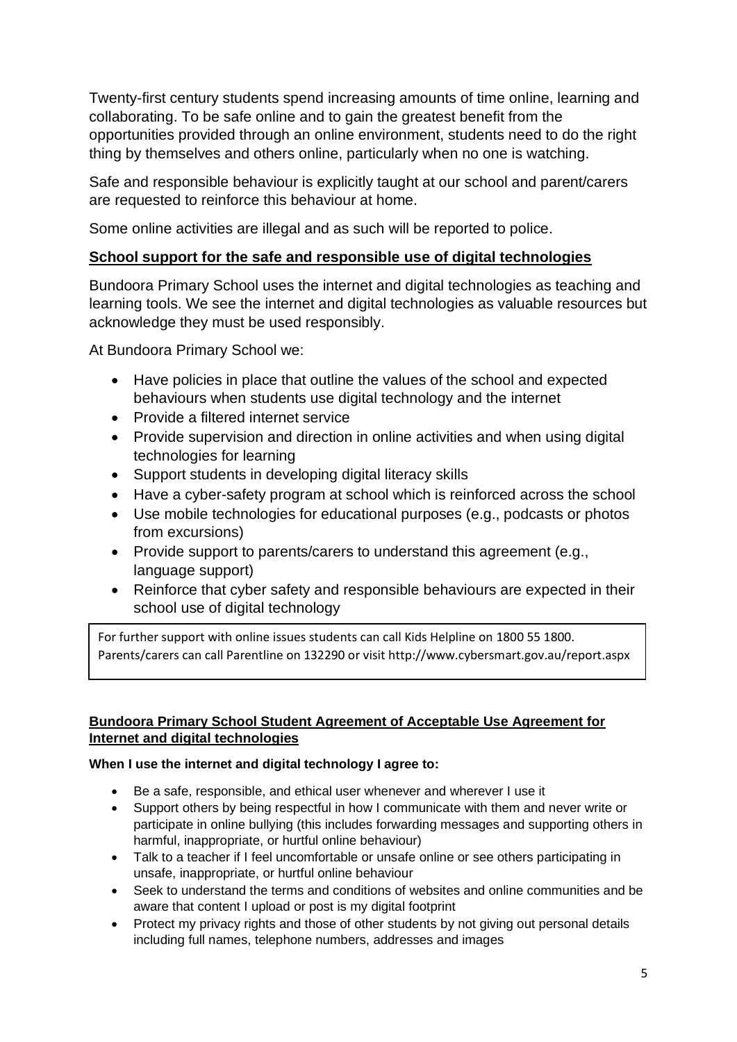Twenty-first century students spend increasing amounts of time online, learning and collaborating. To be safe online and to gain the greatest benefit from the opportunities provided through an online environment, students need to do the right thing by themselves and others online, particularly when no one is watching.

Safe and responsible behaviour is explicitly taught at our school and parent/carers are requested to reinforce this behaviour at home.

Some online activities are illegal and as such will be reported to police.

# **School support for the safe and responsible use of digital technologies**

Bundoora Primary School uses the internet and digital technologies as teaching and learning tools. We see the internet and digital technologies as valuable resources but acknowledge they must be used responsibly.

At Bundoora Primary School we:

- Have policies in place that outline the values of the school and expected behaviours when students use digital technology and the internet
- Provide a filtered internet service
- Provide supervision and direction in online activities and when using digital technologies for learning
- Support students in developing digital literacy skills
- Have a cyber-safety program at school which is reinforced across the school
- Use mobile technologies for educational purposes (e.g., podcasts or photos from excursions)
- Provide support to parents/carers to understand this agreement (e.g., language support)
- Reinforce that cyber safety and responsible behaviours are expected in their school use of digital technology

For further support with online issues students can call Kids Helpline on 1800 55 1800. Parents/carers can call Parentline on 132290 or visit http://www.cybersmart.gov.au/report.aspx

# **Bundoora Primary School Student Agreement of Acceptable Use Agreement for Internet and digital technologies**

# **When I use the internet and digital technology I agree to:**

- Be a safe, responsible, and ethical user whenever and wherever I use it
- Support others by being respectful in how I communicate with them and never write or participate in online bullying (this includes forwarding messages and supporting others in harmful, inappropriate, or hurtful online behaviour)
- Talk to a teacher if I feel uncomfortable or unsafe online or see others participating in unsafe, inappropriate, or hurtful online behaviour
- Seek to understand the terms and conditions of websites and online communities and be aware that content I upload or post is my digital footprint
- Protect my privacy rights and those of other students by not giving out personal details including full names, telephone numbers, addresses and images